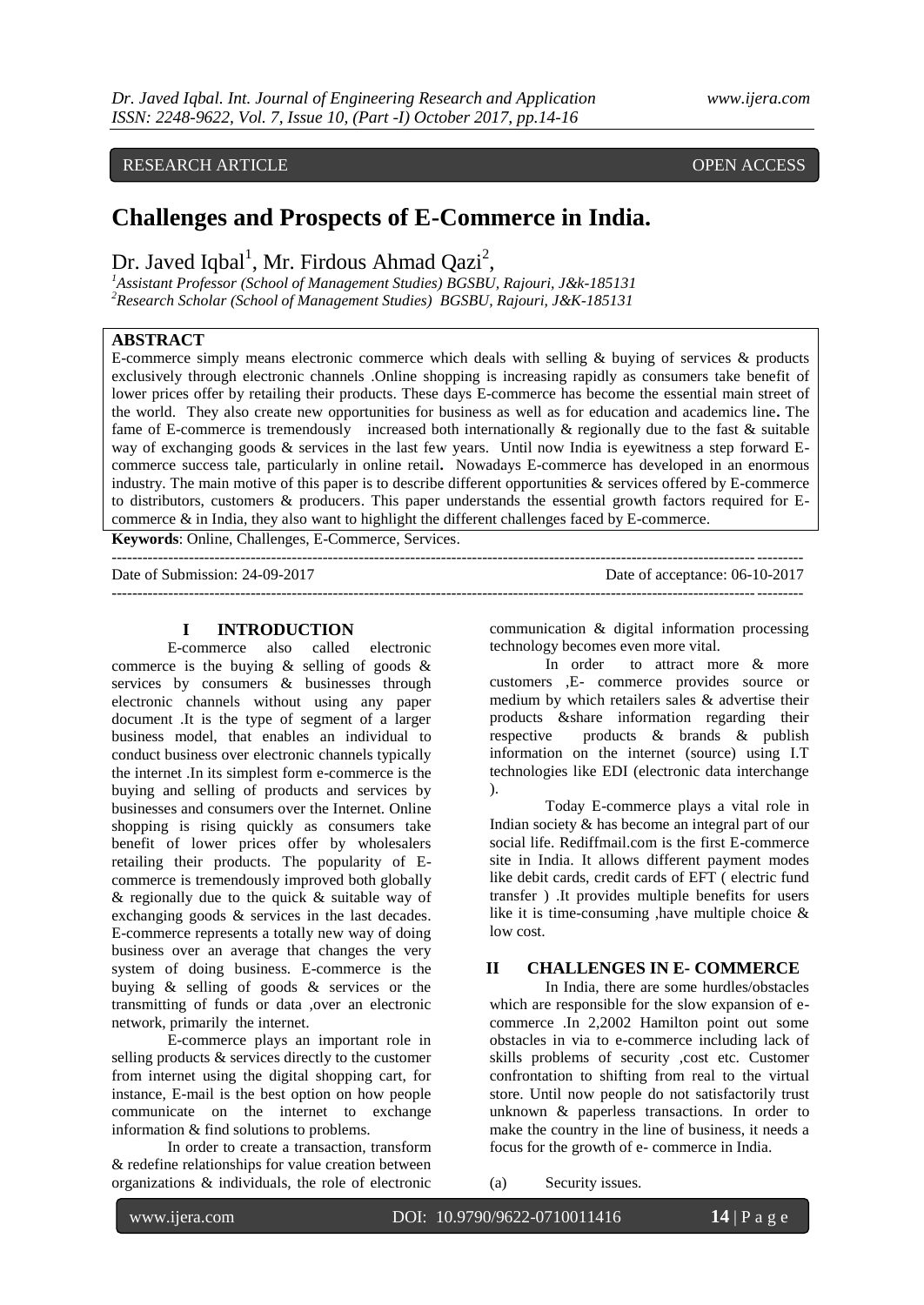# **Challenges and Prospects of E-Commerce in India.**

Dr. Javed Iqbal<sup>1</sup>, Mr. Firdous Ahmad Qazi<sup>2</sup>,

*<sup>1</sup>Assistant Professor (School of Management Studies) BGSBU, Rajouri, J&k-185131 <sup>2</sup>Research Scholar (School of Management Studies) BGSBU, Rajouri, J&K-185131*

# **ABSTRACT**

E-commerce simply means electronic commerce which deals with selling & buying of services & products exclusively through electronic channels .Online shopping is increasing rapidly as consumers take benefit of lower prices offer by retailing their products. These days E-commerce has become the essential main street of the world. They also create new opportunities for business as well as for education and academics line**.** The fame of E-commerce is tremendously increased both internationally & regionally due to the fast & suitable way of exchanging goods & services in the last few years. Until now India is eyewitness a step forward Ecommerce success tale, particularly in online retail**.** Nowadays E-commerce has developed in an enormous industry. The main motive of this paper is to describe different opportunities & services offered by E-commerce to distributors, customers & producers. This paper understands the essential growth factors required for Ecommerce & in India, they also want to highlight the different challenges faced by E-commerce.

**Keywords**: Online, Challenges, E-Commerce, Services.

| Date of Submission: 24-09-2017 | Date of acceptance: 06-10-2017 |
|--------------------------------|--------------------------------|
|                                |                                |

#### **I INTRODUCTION**

E-commerce also called electronic commerce is the buying & selling of goods & services by consumers & businesses through electronic channels without using any paper document .It is the type of segment of a larger business model, that enables an individual to conduct business over electronic channels typically the internet .In its simplest form e-commerce is the buying and selling of products and services by businesses and consumers over the Internet. Online shopping is rising quickly as consumers take benefit of lower prices offer by wholesalers retailing their products. The popularity of Ecommerce is tremendously improved both globally & regionally due to the quick & suitable way of exchanging goods & services in the last decades. E-commerce represents a totally new way of doing business over an average that changes the very system of doing business. E-commerce is the buying & selling of goods & services or the transmitting of funds or data ,over an electronic network, primarily the internet.

E-commerce plays an important role in selling products & services directly to the customer from internet using the digital shopping cart, for instance, E-mail is the best option on how people communicate on the internet to exchange information & find solutions to problems.

In order to create a transaction, transform & redefine relationships for value creation between organizations & individuals, the role of electronic communication & digital information processing technology becomes even more vital.

In order to attract more & more customers ,E- commerce provides source or medium by which retailers sales & advertise their products &share information regarding their respective products & brands & publish information on the internet (source) using I.T technologies like EDI (electronic data interchange ).

Today E-commerce plays a vital role in Indian society & has become an integral part of our social life. Rediffmail.com is the first E-commerce site in India. It allows different payment modes like debit cards, credit cards of EFT ( electric fund transfer ) .It provides multiple benefits for users like it is time-consuming , have multiple choice  $\&$ low cost.

# **II CHALLENGES IN E- COMMERCE**

In India, there are some hurdles/obstacles which are responsible for the slow expansion of ecommerce .In 2,2002 Hamilton point out some obstacles in via to e-commerce including lack of skills problems of security ,cost etc. Customer confrontation to shifting from real to the virtual store. Until now people do not satisfactorily trust unknown & paperless transactions. In order to make the country in the line of business, it needs a focus for the growth of e- commerce in India.

(a) Security issues.

www.ijera.com DOI: 10.9790/9622-0710011416 **14** | P a g e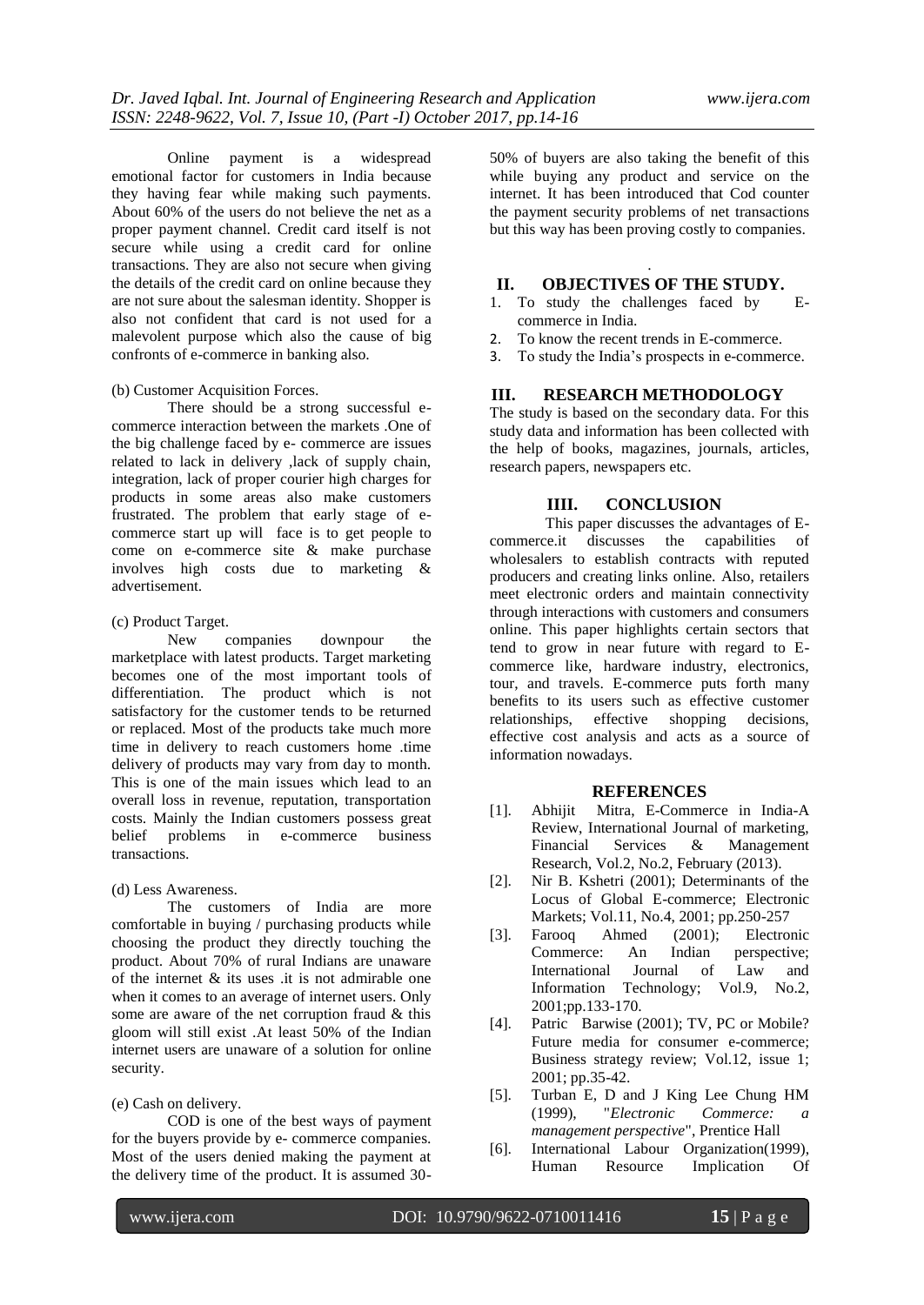Online payment is a widespread emotional factor for customers in India because they having fear while making such payments. About 60% of the users do not believe the net as a proper payment channel. Credit card itself is not secure while using a credit card for online transactions. They are also not secure when giving the details of the credit card on online because they are not sure about the salesman identity. Shopper is also not confident that card is not used for a malevolent purpose which also the cause of big confronts of e-commerce in banking also.

### (b) Customer Acquisition Forces.

There should be a strong successful ecommerce interaction between the markets .One of the big challenge faced by e- commerce are issues related to lack in delivery ,lack of supply chain, integration, lack of proper courier high charges for products in some areas also make customers frustrated. The problem that early stage of ecommerce start up will face is to get people to come on e-commerce site & make purchase involves high costs due to marketing & advertisement.

#### (c) Product Target.

New companies downpour the marketplace with latest products. Target marketing becomes one of the most important tools of differentiation. The product which is not satisfactory for the customer tends to be returned or replaced. Most of the products take much more time in delivery to reach customers home .time delivery of products may vary from day to month. This is one of the main issues which lead to an overall loss in revenue, reputation, transportation costs. Mainly the Indian customers possess great belief problems in e-commerce business transactions.

#### (d) Less Awareness.

The customers of India are more comfortable in buying / purchasing products while choosing the product they directly touching the product. About 70% of rural Indians are unaware of the internet  $\&$  its uses it is not admirable one when it comes to an average of internet users. Only some are aware of the net corruption fraud & this gloom will still exist .At least 50% of the Indian internet users are unaware of a solution for online security.

### (e) Cash on delivery.

COD is one of the best ways of payment for the buyers provide by e- commerce companies. Most of the users denied making the payment at the delivery time of the product. It is assumed 3050% of buyers are also taking the benefit of this while buying any product and service on the internet. It has been introduced that Cod counter the payment security problems of net transactions but this way has been proving costly to companies.

# . **II. OBJECTIVES OF THE STUDY.**

- 1. To study the challenges faced by Ecommerce in India.
- 2. To know the recent trends in E-commerce.
- 3. To study the India's prospects in e-commerce.

## **III. RESEARCH METHODOLOGY**

The study is based on the secondary data. For this study data and information has been collected with the help of books, magazines, journals, articles, research papers, newspapers etc.

### **IIII. CONCLUSION**

This paper discusses the advantages of Ecommerce.it discusses the capabilities of wholesalers to establish contracts with reputed producers and creating links online. Also, retailers meet electronic orders and maintain connectivity through interactions with customers and consumers online. This paper highlights certain sectors that tend to grow in near future with regard to Ecommerce like, hardware industry, electronics, tour, and travels. E-commerce puts forth many benefits to its users such as effective customer relationships, effective shopping decisions, effective cost analysis and acts as a source of information nowadays.

### **REFERENCES**

- [1]. Abhijit Mitra, E-Commerce in India-A Review, International Journal of marketing,<br>Financial Services & Management Services  $\&$  Management Research, Vol.2, No.2, February (2013).
- [2]. Nir B. Kshetri (2001); Determinants of the Locus of Global E-commerce; Electronic Markets; Vol.11, No.4, 2001; pp.250-257
- [3]. Farooq Ahmed (2001); Electronic Commerce: An Indian perspective; International Journal of Law and Information Technology; Vol.9, No.2, 2001;pp.133-170.
- [4]. Patric Barwise (2001); TV, PC or Mobile? Future media for consumer e-commerce; Business strategy review; Vol.12, issue 1; 2001; pp.35-42.
- [5]. Turban E, D and J King Lee Chung HM (1999), "*Electronic Commerce: a management perspective*", Prentice Hall
- [6]. International Labour Organization(1999), Human Resource Implication Of